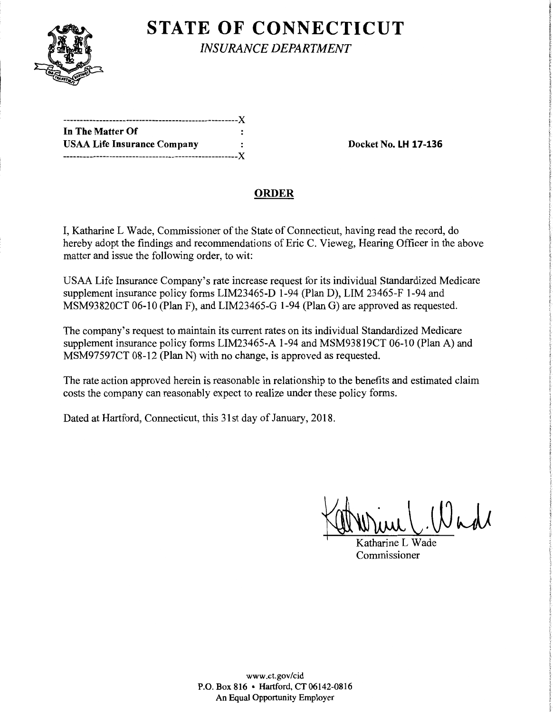

**STATE OF CONNECTICUT** 

*INSURANCE DEPARTMENT* 

| In The Matter Of                   |  |
|------------------------------------|--|
| <b>USAA Life Insurance Company</b> |  |
|                                    |  |

**Docket No. LH 17-136** 

## **ORDER**

I, Katharine L Wade, Commissioner of the State of Connecticut, having read the record, do hereby adopt the findings and recommendations of Eric C. Vieweg, Hearing Officer in the above matter and issue the following order, to wit:

USAA Life Insurance Company's rate increase request for its individual Standardized Medicare supplement insurance policy forms LIM23465-D 1-94 (Plan D), LIM 23465-F 1-94 and MSM93820CT 06-10 (Plan F), and LIM23465-G 1-94 (Plan G) are approved as requested.

The company's request to maintain its current rates on its individual Standardized Medicare supplement insurance policy forms LIM23465-A 1-94 and MSM93819CT 06-10 (Plan A) and MSM97597CT 08-12 (Plan N) with no change, is approved as requested.

The rate action approved herein is reasonable in relationship to the benefits and estimated claim costs the company can reasonably expect to realize under these policy forms.

Dated at Hartford, Connecticut, this 31st day of January, 2018.

Katharine L Wade

Commissioner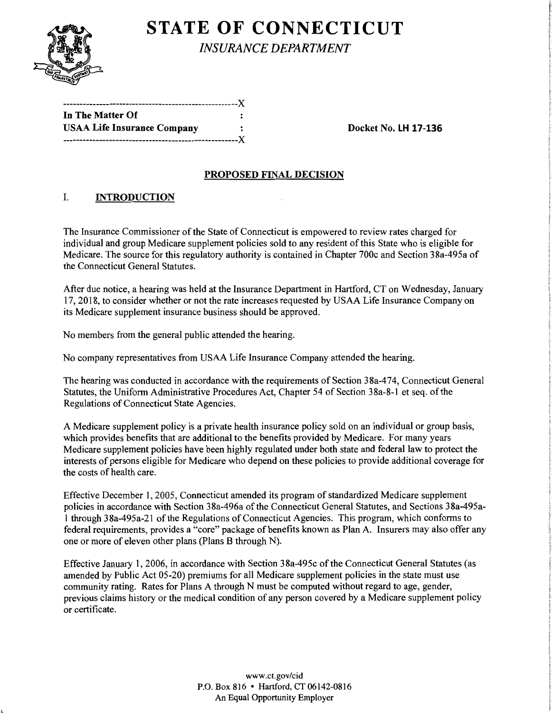

# **STATE OF CONNECTICUT**

*INSURANCE DEPARTMENT* 

| In The Matter Of                   |  |
|------------------------------------|--|
| <b>USAA Life Insurance Company</b> |  |
|                                    |  |

**Docket No. LH 17-136** 

## **PROPOSED FINAL DECISION**

## I. **INTRODUCTION**

The Insurance Commissioner of the State of Connecticut is empowered to review rates charged for individual and group Medicare supplement policies sold to any resident of this State who is eligible for Medicare. The source for this regulatory authority is contained in Chapter 700c and Section 38a-495a of the Connecticut General Statutes.

After due notice, a hearing was held at the Insurance Department in Hartford, CT on Wednesday, January 17, 2018, to consider whether or not the rate increases requested by USAA Life Insurance Company on its Medicare supplement insurance business should be approved.

No members from the general public attended the hearing.

No company representatives from USAA Life Insurance Company attended the hearing.

The hearing was conducted in accordance with the requirements of Section 38a-474, Connecticut General Statutes, the Uniform Administrative Procedures Act, Chapter 54 of Section 38a-8-1 et seq. of the Regulations of Connecticut State Agencies.

A Medicare supplement policy is a private health insurance policy sold on an individual or group basis, which provides benefits that are additional to the benefits provided by Medicare. For many years Medicare supplement policies have been highly regulated under both state and federal law to protect the interests of persons eligible for Medicare who depend on these policies to provide additional coverage for the costs of health care.

Effective December 1, 2005, Connecticut amended its program of standardized Medicare supplement policies in accordance with Section 38a-496a of the Connecticut General Statutes, and Sections 38a-495a-1 through 38a-495a-21 ofthe Regulations of Connecticut Agencies. This program, which conforms to federal requirements, provides a "core" package of benefits known as Plan A. Insurers may also offer any one or more of eleven other plans (Plans B through N).

Effective January 1, 2006, in accordance with Section 38a-495c of the Connecticut General Statutes (as amended by Public Act 05-20) premiums for all Medicare supplement policies in the state must use community rating. Rates for Plans A through N must be computed without regard to age, gender, previous claims history or the medical condition of any person covered by a Medicare supplement policy or certificate.

> www.ct.gov/cid P.O. Box 816 • Hartford, CT 06142-0816 An Equal Opportunity Employer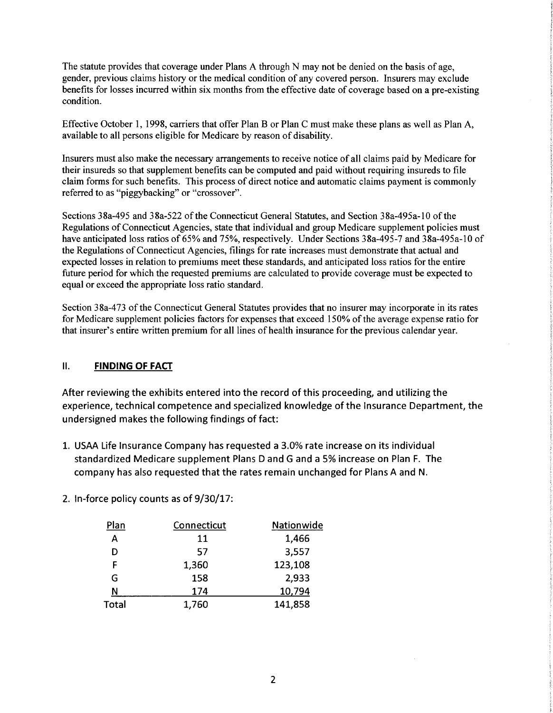The statute provides that coverage under Plans A through N may not be denied on the basis of age, gender, previous claims history or the medical condition of any covered person. Insurers may exclude benefits for losses incurred within six months from the effective date of coverage based on a pre-existing condition.

Effective October 1, 1998, carriers that offer Plan B or Plan C must make these plans as well as Plan A, available to all persons eligible for Medicare by reason of disability.

Insurers must also make the necessary arrangements to receive notice of all claims paid by Medicare for their insureds so that supplement benefits can be computed and paid without requiring insureds to file claim forms for such benefits. This process of direct notice and automatic claims payment is commonly referred to as "piggybacking" or "crossover".

Sections 38a-495 and 38a-522 of the Connecticut General Statutes, and Section 38a-495a-10 of the Regulations of Connecticut Agencies, state that individual and group Medicare supplement policies must have anticipated loss ratios of 65% and 75%, respectively. Under Sections 38a-495-7 and 38a-495a-10 of the Regulations of Connecticut Agencies, filings for rate increases must demonstrate that actual and expected losses in relation to premiums meet these standards, and anticipated loss ratios for the entire future period for which the requested premiums are calculated to provide coverage must be expected to equal or exceed the appropriate loss ratio standard.

Section 38a-473 of the Connecticut General Statutes provides that no insurer may incorporate in its rates for Medicare supplement policies factors for expenses that exceed 150% of the average expense ratio for that insurer's entire written premium for all lines of health insurance for the previous calendar year.

#### II. **FINDING OF FACT**

After reviewing the exhibits entered into the record of this proceeding, and utilizing the experience, technical competence and specialized knowledge of the Insurance Department, the undersigned makes the following findings of fact:

- 1. USAA Life Insurance Company has requested a 3.0% rate increase on its individual standardized Medicare supplement Plans D and G and a 5% increase on Plan F. The company has also requested that the rates remain unchanged for Plans A and N.
- 2. In-force policy counts as of 9/30/17:

| Plan         | Connecticut | Nationwide |
|--------------|-------------|------------|
| A            | 11          | 1,466      |
| D            | 57          | 3,557      |
| F            | 1,360       | 123,108    |
| G            | 158         | 2,933      |
| Ν            | 174         | 10,794     |
| <b>Total</b> | 1,760       | 141,858    |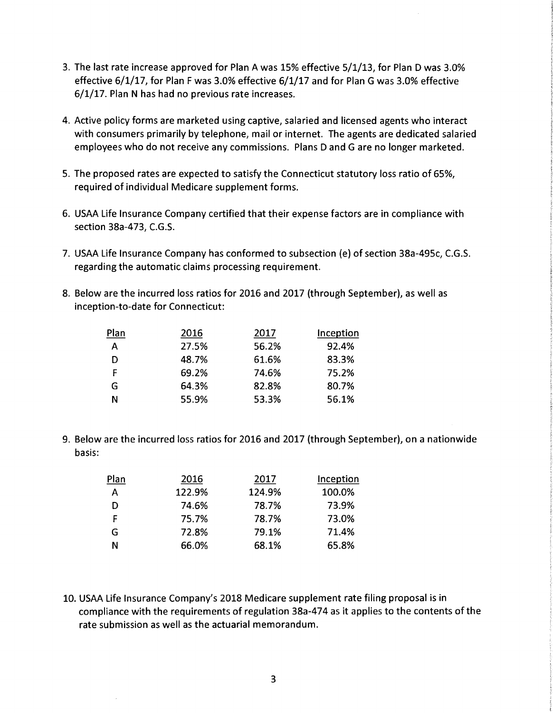- 3. The last rate increase approved for Plan A was 15% effective 5/1/13, for Plan D was 3.0% effective 6/1/17, for Plan F was 3.0% effective 6/1/17 and for Plan G was 3.0% effective 6/1/17. Plan N has had no previous rate increases.
- 4. Active policy forms are marketed using captive, salaried and licensed agents who interact with consumers primarily by telephone, mail or internet. The agents are dedicated salaried employees who do not receive any commissions. Plans D and Gare no longer marketed.
- 5. The proposed rates are expected to satisfy the Connecticut statutory loss ratio of 65%, required of individual Medicare supplement forms.
- 6. USAA Life Insurance Company certified that their expense factors are in compliance with section 38a-473, C.G.S.
- 7. USAA Life Insurance Company has conformed to subsection (e) of section 38a-495c, C.G.S. regarding the automatic claims processing requirement.
- 8. Below are the incurred loss ratios for 2016 and 2017 (through September), as well as inception-to-date for Connecticut:

| Plan | 2016  | 2017  | Inception |
|------|-------|-------|-----------|
| A    | 27.5% | 56.2% | 92.4%     |
| D    | 48.7% | 61.6% | 83.3%     |
| F    | 69.2% | 74.6% | 75.2%     |
| G    | 64.3% | 82.8% | 80.7%     |
| Ν    | 55.9% | 53.3% | 56.1%     |

9. Below are the incurred loss ratios for 2016 and 2017 (through September), on a nationwide basis:

| Plan | 2016   | 2017   | Inception |
|------|--------|--------|-----------|
| A    | 122.9% | 124.9% | 100.0%    |
| D    | 74.6%  | 78.7%  | 73.9%     |
| F    | 75.7%  | 78.7%  | 73.0%     |
| G    | 72.8%  | 79.1%  | 71.4%     |
| N    | 66.0%  | 68.1%  | 65.8%     |

10. USAA Life Insurance Company's 2018 Medicare supplement rate filing proposal is in compliance with the requirements of regulation 38a-474 as it applies to the contents of the rate submission as well as the actuarial memorandum.